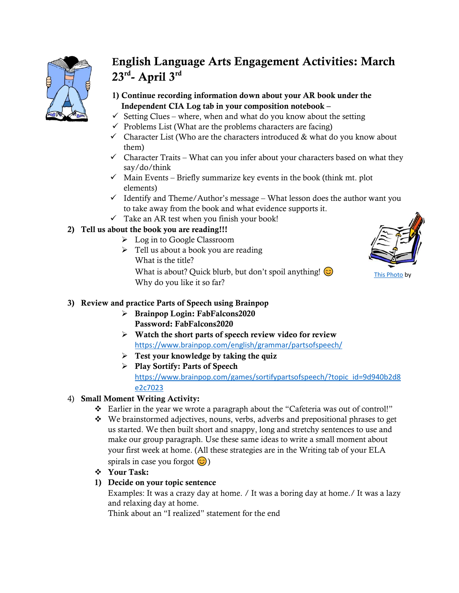

# English Language Arts Engagement Activities: March  $23^{\text{rd}}$ - April  $3^{\text{rd}}$

- 1) Continue recording information down about your AR book under the Independent CIA Log tab in your composition notebook –
- $\checkmark$  Setting Clues where, when and what do you know about the setting
- $\checkmark$  Problems List (What are the problems characters are facing)
- $\checkmark$  Character List (Who are the characters introduced & what do you know about them)
- $\checkmark$  Character Traits What can you infer about your characters based on what they say/do/think
- $\checkmark$  Main Events Briefly summarize key events in the book (think mt. plot elements)
- $\checkmark$  Identify and Theme/Author's message What lesson does the author want you to take away from the book and what evidence supports it.
- $\checkmark$  Take an AR test when you finish your book!

# 2) Tell us about the book you are reading!!!

- ➢ Log in to Google Classroom
- $\triangleright$  Tell us about a book you are reading What is the title?



[This Photo](http://beyondtheclassroom.wikidot.com/emily-gohs) by

What is about? Quick blurb, but don't spoil anything!  $\odot$ Why do you like it so far?

## 3) Review and practice Parts of Speech using Brainpop

- ➢ Brainpop Login: FabFalcons2020 Password: FabFalcons2020
- $\triangleright$  Watch the short parts of speech review video for review <https://www.brainpop.com/english/grammar/partsofspeech/>
- $\triangleright$  Test your knowledge by taking the quiz
- ➢ Play Sortify: Parts of Speech [https://www.brainpop.com/games/sortifypartsofspeech/?topic\\_id=9d940b2d8](https://www.brainpop.com/games/sortifypartsofspeech/?topic_id=9d940b2d8e2c7023) [e2c7023](https://www.brainpop.com/games/sortifypartsofspeech/?topic_id=9d940b2d8e2c7023)

# 4) Small Moment Writing Activity:

- ❖ Earlier in the year we wrote a paragraph about the "Cafeteria was out of control!"
- ❖ We brainstormed adjectives, nouns, verbs, adverbs and prepositional phrases to get us started. We then built short and snappy, long and stretchy sentences to use and make our group paragraph. Use these same ideas to write a small moment about your first week at home. (All these strategies are in the Writing tab of your ELA spirals in case you forgot  $\circled{c}$ )
- ❖ Your Task:

## 1) Decide on your topic sentence

Examples: It was a crazy day at home. / It was a boring day at home./ It was a lazy and relaxing day at home.

Think about an "I realized" statement for the end